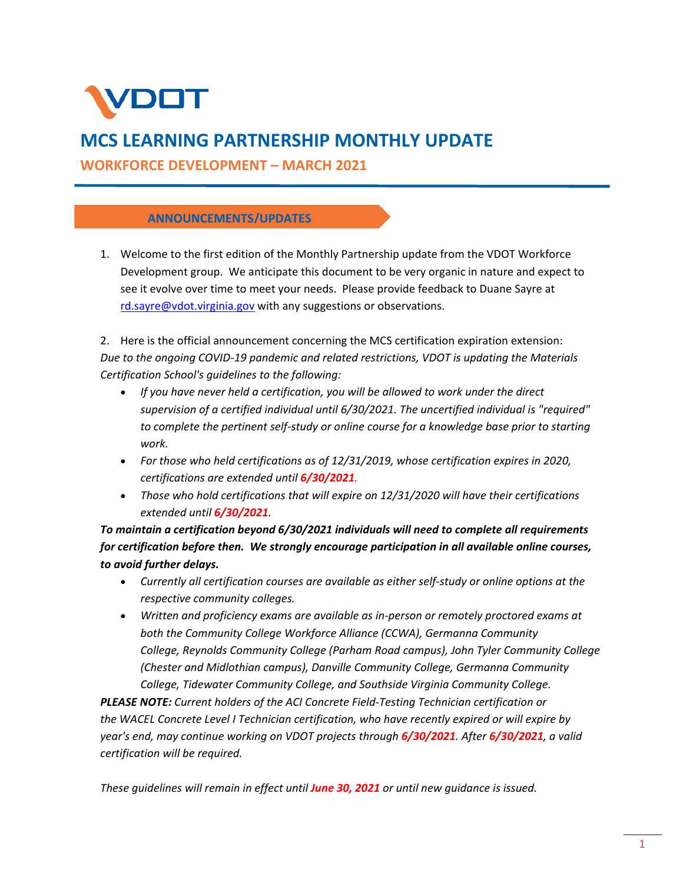

# **MCS LEARNING PARTNERSHIP MONTHLY UPDATE**

**WORKFORCE DEVELOPMENT – MARCH 2021** 

### **ANNOUNCEMENTS/UPDATES**

1. Welcome to the first edition of the Monthly Partnership update from the VDOT Workforce Development group. We anticipate this document to be very organic in nature and expect to see it evolve over time to meet your needs. Please provide feedback to Duane Sayre at rd.sayre@vdot.virginia.gov with any suggestions or observations.

2. Here is the official announcement concerning the MCS certification expiration extension: *Due to the ongoing COVID‐19 pandemic and related restrictions, VDOT is updating the Materials Certification School's guidelines to the following:*

- *If you have never held a certification, you will be allowed to work under the direct supervision of a certified individual until 6/30/2021. The uncertified individual is "required" to complete the pertinent self‐study or online course for a knowledge base prior to starting work.*
- *For those who held certifications as of 12/31/2019, whose certification expires in 2020, certifications are extended until 6/30/2021.*
- *Those who hold certifications that will expire on 12/31/2020 will have their certifications extended until 6/30/2021.*

*To maintain a certification beyond 6/30/2021 individuals will need to complete all requirements for certification before then. We strongly encourage participation in all available online courses, to avoid further delays.*

- *Currently all certification courses are available as either self‐study or online options at the respective community colleges.*
- *Written and proficiency exams are available as in‐person or remotely proctored exams at both the Community College Workforce Alliance (CCWA), Germanna Community College, Reynolds Community College (Parham Road campus), John Tyler Community College (Chester and Midlothian campus), Danville Community College, Germanna Community College, Tidewater Community College, and Southside Virginia Community College.*

*PLEASE NOTE: Current holders of the ACI Concrete Field‐Testing Technician certification or the WACEL Concrete Level I Technician certification, who have recently expired or will expire by year's end, may continue working on VDOT projects through 6/30/2021. After 6/30/2021, a valid certification will be required.*

*These guidelines will remain in effect until June 30, 2021 or until new guidance is issued.*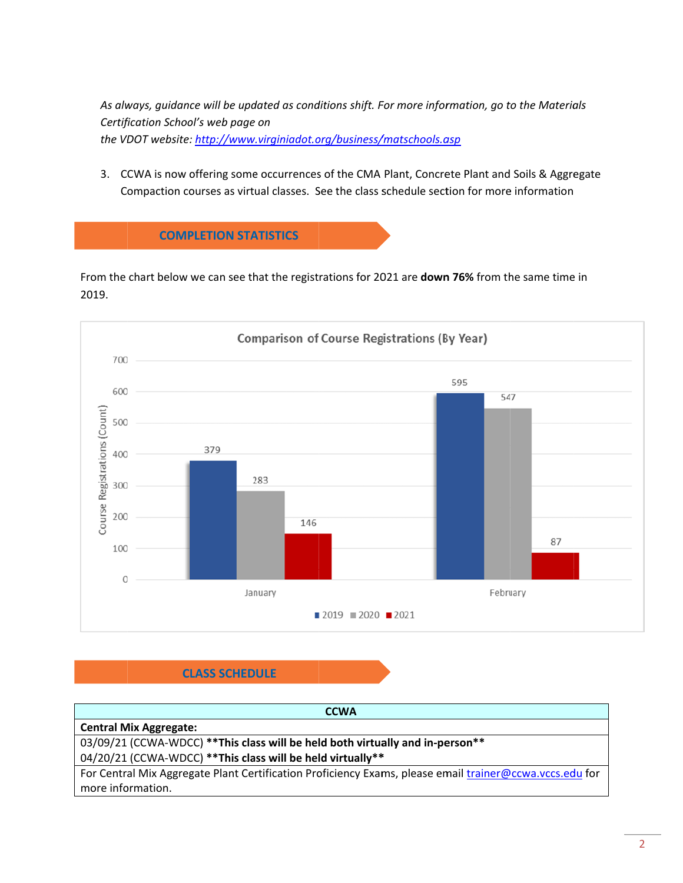As always, guidance will be updated as conditions shift. For more information, go to the Materials Certification School's web page on the VDOT website: http://www.virginiadot.org/business/matschools.asp

3. CCWA is now offering some occurrences of the CMA Plant, Concrete Plant and Soils & Aggregate Compaction courses as virtual classes. See the class schedule section for more information



From the chart below we can see that the registrations for 2021 are down 76% from the same time in 2019.



# **CLASS SCHEDULE**

| <b>CCWA</b>                                                                                             |
|---------------------------------------------------------------------------------------------------------|
| <b>Central Mix Aggregate:</b>                                                                           |
| 03/09/21 (CCWA-WDCC) ** This class will be held both virtually and in-person**                          |
| 04/20/21 (CCWA-WDCC) ** This class will be held virtually **                                            |
| For Central Mix Aggregate Plant Certification Proficiency Exams, please email trainer@ccwa.vccs.edu for |
| more information.                                                                                       |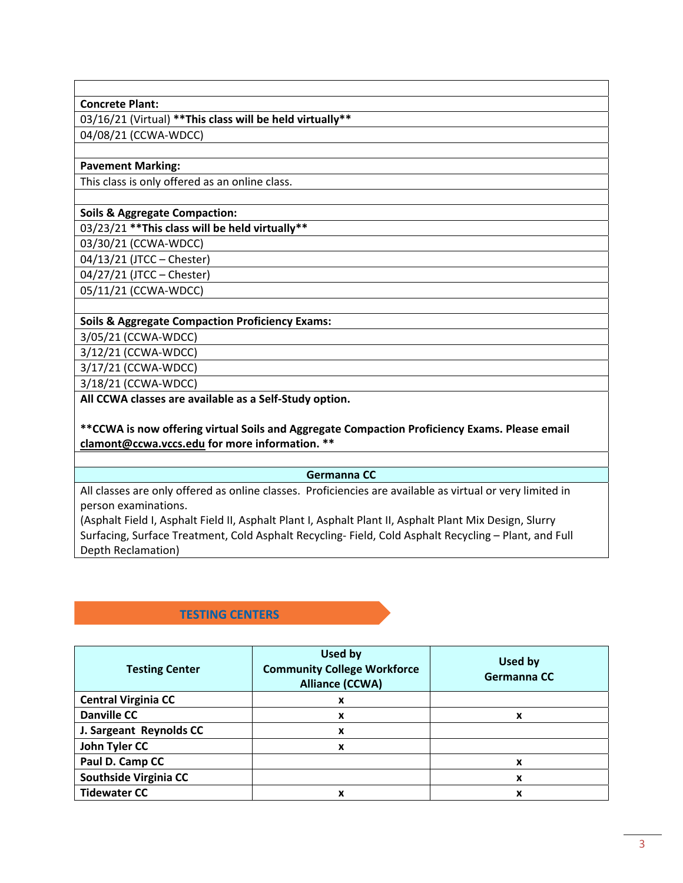#### **Concrete Plant:**

03/16/21 (Virtual) **\*\*This class will be held virtually\*\*** 04/08/21 (CCWA‐WDCC)

#### **Pavement Marking:**

This class is only offered as an online class.

#### **Soils & Aggregate Compaction:**

#### 03/23/21 **\*\*This class will be held virtually\*\***

03/30/21 (CCWA‐WDCC)

04/13/21 (JTCC – Chester)

04/27/21 (JTCC – Chester)

05/11/21 (CCWA‐WDCC)

#### **Soils & Aggregate Compaction Proficiency Exams:**

3/05/21 (CCWA‐WDCC)

3/12/21 (CCWA‐WDCC)

3/17/21 (CCWA‐WDCC)

3/18/21 (CCWA‐WDCC)

**All CCWA classes are available as a Self‐Study option.**

**\*\*CCWA is now offering virtual Soils and Aggregate Compaction Proficiency Exams. Please email clamont@ccwa.vccs.edu for more information. \*\***

#### **Germanna CC**

All classes are only offered as online classes. Proficiencies are available as virtual or very limited in person examinations.

(Asphalt Field I, Asphalt Field II, Asphalt Plant I, Asphalt Plant II, Asphalt Plant Mix Design, Slurry Surfacing, Surface Treatment, Cold Asphalt Recycling‐ Field, Cold Asphalt Recycling – Plant, and Full Depth Reclamation)

## **TESTING CENTERS**

| <b>Testing Center</b>      | Used by<br><b>Community College Workforce</b><br><b>Alliance (CCWA)</b> | Used by<br>Germanna CC |
|----------------------------|-------------------------------------------------------------------------|------------------------|
| <b>Central Virginia CC</b> | x                                                                       |                        |
| <b>Danville CC</b>         | x                                                                       | x                      |
| J. Sargeant Reynolds CC    | x                                                                       |                        |
| John Tyler CC              | x                                                                       |                        |
| Paul D. Camp CC            |                                                                         | x                      |
| Southside Virginia CC      |                                                                         | x                      |
| <b>Tidewater CC</b>        | x                                                                       | x                      |